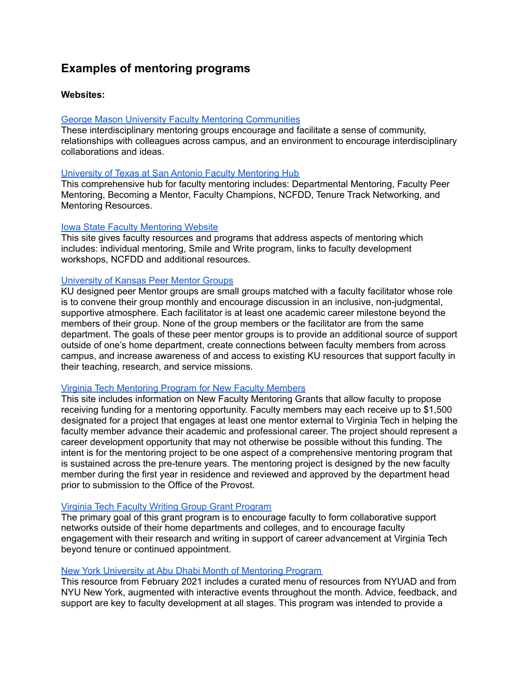# **Examples of mentoring programs**

## **Websites:**

## George Mason University Faculty Mentoring [Communities](https://faculty.gmu.edu/professional-development/faculty-mentoring-communities)

These interdisciplinary mentoring groups encourage and facilitate a sense of community, relationships with colleagues across campus, and an environment to encourage interdisciplinary collaborations and ideas.

## University of Texas at San Antonio Faculty [Mentoring](https://provost.utsa.edu/mentoring/) Hub

This comprehensive hub for faculty mentoring includes: Departmental Mentoring, Faculty Peer Mentoring, Becoming a Mentor, Faculty Champions, NCFDD, Tenure Track Networking, and Mentoring Resources.

## Iowa State Faculty [Mentoring](https://www.provost.iastate.edu/faculty-success/development/all-faculty/mentoring) Website

This site gives faculty resources and programs that address aspects of mentoring which includes: individual mentoring, Smile and Write program, links to faculty development workshops, NCFDD and additional resources.

## [University](http://facultydevelopment.ku.edu/peermentorgroups) of Kansas Peer Mentor Groups

KU designed peer Mentor groups are small groups matched with a faculty facilitator whose role is to convene their group monthly and encourage discussion in an inclusive, non-judgmental, supportive atmosphere. Each facilitator is at least one academic career milestone beyond the members of their group. None of the group members or the facilitator are from the same department. The goals of these peer mentor groups is to provide an additional source of support outside of one's home department, create connections between faculty members from across campus, and increase awareness of and access to existing KU resources that support faculty in their teaching, research, and service missions.

## Virginia Tech [Mentoring](https://faculty.vt.edu/faculty-development/mentoring-program-new-faculty.html) Program for New Faculty Members

This site includes information on New Faculty Mentoring Grants that allow faculty to propose receiving funding for a mentoring opportunity. Faculty members may each receive up to \$1,500 designated for a project that engages at least one mentor external to Virginia Tech in helping the faculty member advance their academic and professional career. The project should represent a career development opportunity that may not otherwise be possible without this funding. The intent is for the mentoring project to be one aspect of a comprehensive mentoring program that is sustained across the pre-tenure years. The mentoring project is designed by the new faculty member during the first year in residence and reviewed and approved by the department head prior to submission to the Office of the Provost.

## Virginia Tech Faculty Writing Group Grant [Program](https://faculty.vt.edu/faculty-development/faculty-writing-group-grant.html)

The primary goal of this grant program is to encourage faculty to form collaborative support networks outside of their home departments and colleges, and to encourage faculty engagement with their research and writing in support of career advancement at Virginia Tech beyond tenure or continued appointment.

## New York University at Abu Dhabi Month of [Mentoring](https://nyuad.nyu.edu/en/faculty/faculty-development-and-diversity/faculty-mentoring.html) Program

This resource from February 2021 includes a curated menu of resources from NYUAD and from NYU New York, augmented with interactive events throughout the month. Advice, feedback, and support are key to faculty development at all stages. This program was intended to provide a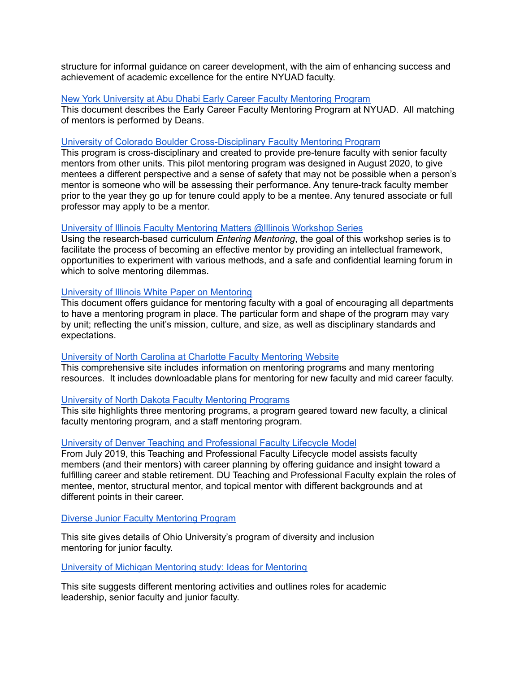structure for informal guidance on career development, with the aim of enhancing success and achievement of academic excellence for the entire NYUAD faculty.

## New York University at Abu Dhabi Early Career Faculty [Mentoring](https://nyuad.nyu.edu/content/dam/nyuad/faculty/faculty-development-diversity/nyuad-facutly-career-mentoring-program-spring-2021.pdf) Program

This document describes the Early Career Faculty Mentoring Program at NYUAD. All matching of mentors is performed by Deans.

## University of Colorado Boulder [Cross-Disciplinary](https://www.colorado.edu/facultyrelations/cu-boulder-faculty-mentoring-program) Faculty Mentoring Program

This program is cross-disciplinary and created to provide pre-tenure faculty with senior faculty mentors from other units. This pilot mentoring program was designed in August 2020, to give mentees a different perspective and a sense of safety that may not be possible when a person's mentor is someone who will be assessing their performance. Any tenure-track faculty member prior to the year they go up for tenure could apply to be a mentee. Any tenured associate or full professor may apply to be a mentor.

## University of Illinois Faculty Mentoring Matters @Illinois [Workshop](https://provost.illinois.edu/faculty-affairs/seminars-workshops/mentoring-matters-workshop-series/) Series

Using the research-based curriculum *Entering Mentoring*, the goal of this workshop series is to facilitate the process of becoming an effective mentor by providing an intellectual framework, opportunities to experiment with various methods, and a safe and confidential learning forum in which to solve mentoring dilemmas.

## University of Illinois White Paper on [Mentoring](https://provost.illinois.edu/faculty-affairs/faculty-development-mentoring/mentoring/)

This document offers guidance for mentoring faculty with a goal of encouraging all departments to have a mentoring program in place. The particular form and shape of the program may vary by unit; reflecting the unit's mission, culture, and size, as well as disciplinary standards and expectations.

## University of North Carolina at Charlotte Faculty [Mentoring](https://advance.uncc.edu/programming/programs/mentoring) Website

This comprehensive site includes information on mentoring programs and many mentoring resources. It includes downloadable plans for mentoring for new faculty and mid career faculty.

#### University of North Dakota Faculty [Mentoring](https://und.edu/academics/ttada/mentoring.html) Programs

This site highlights three mentoring programs, a program geared toward new faculty, a clinical faculty mentoring program, and a staff mentoring program.

#### University of Denver Teaching and [Professional](https://duvpfa.du.edu/professional-faculty-lifecycle/) Faculty Lifecycle Model

From July 2019, this Teaching and Professional Faculty Lifecycle model assists faculty members (and their mentors) with career planning by offering guidance and insight toward a fulfilling career and stable retirement. DU Teaching and Professional Faculty explain the roles of mentee, mentor, structural mentor, and topical mentor with different backgrounds and at different points in their career.

Diverse Junior Faculty [Mentoring](https://www.ohio.edu/diversity/junior-faculty-mentoring) Program

This site gives details of Ohio University's program of diversity and inclusion mentoring for junior faculty.

#### University of Michigan [Mentoring](http://www.provost.umich.edu/faculty/faculty_mentoring_study/ideas.html) study: Ideas for Mentoring

This site suggests different mentoring activities and outlines roles for academic leadership, senior faculty and junior faculty.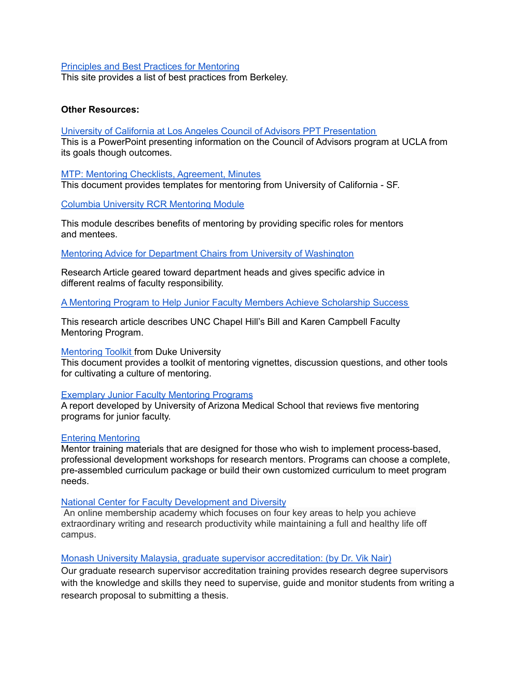## Principles and Best Practices for [Mentoring](https://vpf.berkeley.edu/mentoring/principles-and-best-practices%C2%B9)

This site provides a list of best practices from Berkeley.

## **Other Resources:**

#### University of California at Los Angeles Council of Advisors PPT [Presentation](https://www.ucop.edu/ucadvance/_files/roundtable-3/we-want-you-here-drange-lee.pdf)

This is a PowerPoint presenting information on the Council of Advisors program at UCLA from its goals though outcomes.

## MTP: Mentoring Checklists, [Agreement,](https://accelerate.ucsf.edu/training/mdp-seminar1-checklists) Minutes

This document provides templates for mentoring from University of California - SF.

## Columbia University RCR [Mentoring](http://ccnmtl.columbia.edu/projects/rcr/rcr_mentoring/foundation/index.html) Module

This module describes benefits of mentoring by providing specific roles for mentors and mentees.

Mentoring Advice for Department Chairs from University of [Washington](http://faculty.washington.edu/olmstd/research/Mentoring.html)

Research Article geared toward department heads and gives specific advice in different realms of faculty responsibility.

A Mentoring Program to Help Junior Faculty Members Achieve [Scholarship](https://www.ncbi.nlm.nih.gov/pmc/articles/PMC3965137/) Success

This research article describes UNC Chapel Hill's Bill and Karen Campbell Faculty Mentoring Program.

#### [Mentoring](https://gradschool.duke.edu/professional-development/mentoring/mentoring-resources/toolkit-cultivating-culture-mentoring) Toolkit from Duke University

This document provides a toolkit of mentoring vignettes, discussion questions, and other tools for cultivating a culture of mentoring.

#### [Exemplary](https://medicine.arizona.edu/sites/default/files/exemplary-junior-faculty-mentoring-programs.pdf) Junior Faculty Mentoring Programs

A report developed by University of Arizona Medical School that reviews five mentoring programs for junior faculty.

#### Entering [Mentoring](https://cimerproject.org/entering-mentoring/)

Mentor training materials that are designed for those who wish to implement process-based, professional development workshops for research mentors. Programs can choose a complete, pre-assembled curriculum package or build their own customized curriculum to meet program needs.

#### National Center for Faculty [Development](https://www.facultydiversity.org/) and Diversity

An online membership academy which focuses on four key areas to help you achieve extraordinary writing and research productivity while maintaining a full and healthy life off campus.

#### Monash University Malaysia, graduate supervisor [accreditation:](https://www.monash.edu/graduate-research/supervisors-and-examiners/supervisors/training) (by Dr. Vik Nair)

Our graduate research supervisor accreditation training provides research degree supervisors with the knowledge and skills they need to supervise, guide and monitor students from writing a research proposal to submitting a thesis.